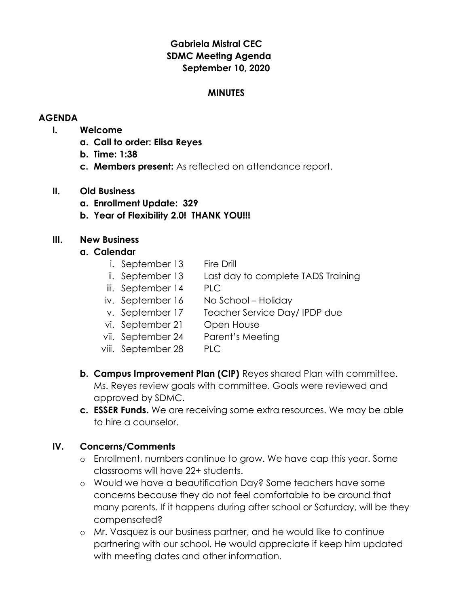# Gabriela Mistral CEC SDMC Meeting Agenda September 10, 2020

## **MINUTES**

## AGENDA

## I. Welcome

- a. Call to order: Elisa Reyes
- b. Time: 1:38
- c. Members present: As reflected on attendance report.

## II. Old Business

- a. Enrollment Update: 329
- b. Year of Flexibility 2.0! THANK YOU!!!

## III. New Business

## a. Calendar

- i. September 13 Fire Drill
- ii. September 13 Last day to complete TADS Training
- iii. September 14 PLC
- iv. September 16 No School Holiday
- v. September 17 Teacher Service Day/ IPDP due
- vi. September 21 Open House
- vii. September 24 Parent's Meeting
- viii. September 28 PLC
- b. Campus Improvement Plan (CIP) Reyes shared Plan with committee. Ms. Reyes review goals with committee. Goals were reviewed and approved by SDMC.
- c. **ESSER Funds.** We are receiving some extra resources. We may be able to hire a counselor.

## IV. Concerns/Comments

- o Enrollment, numbers continue to grow. We have cap this year. Some classrooms will have 22+ students.
- o Would we have a beautification Day? Some teachers have some concerns because they do not feel comfortable to be around that many parents. If it happens during after school or Saturday, will be they compensated?
- o Mr. Vasquez is our business partner, and he would like to continue partnering with our school. He would appreciate if keep him updated with meeting dates and other information.